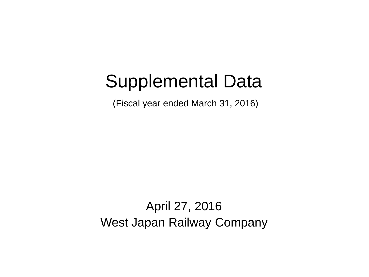# Supplemental Data

(Fiscal year ended March 31, 2016)

April 27, 2016 West Japan Railway Company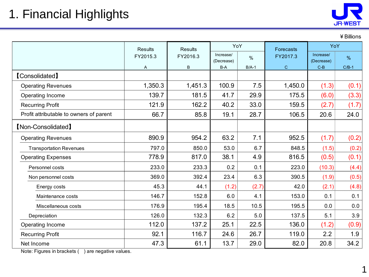| ¥ Billions |  |
|------------|--|
|------------|--|

|                                         | <b>Results</b> | <b>Results</b>         | YoY   |         | Forecasts    | YoY                     |               |
|-----------------------------------------|----------------|------------------------|-------|---------|--------------|-------------------------|---------------|
|                                         | FY2015.3       | FY2016.3<br>(Decrease) |       | $\%$    | FY2017.3     | Increase/<br>(Decrease) | $\frac{9}{6}$ |
|                                         | A              | B                      | B-A   | $B/A-1$ | $\mathbf{C}$ | $C-B$                   | $C/B-1$       |
| <b>[Consolidated]</b>                   |                |                        |       |         |              |                         |               |
| <b>Operating Revenues</b>               | 1,350.3        | 1,451.3                | 100.9 | 7.5     | 1,450.0      | (1.3)                   | (0.1)         |
| Operating Income                        | 139.7          | 181.5                  | 41.7  | 29.9    | 175.5        | (6.0)                   | (3.3)         |
| <b>Recurring Profit</b>                 | 121.9          | 162.2                  | 40.2  | 33.0    | 159.5        | (2.7)                   | (1.7)         |
| Profit attributable to owners of parent | 66.7           | 85.8                   | 19.1  | 28.7    | 106.5        | 20.6                    | 24.0          |
| [Non-Consolidated]                      |                |                        |       |         |              |                         |               |
| <b>Operating Revenues</b>               | 890.9          | 954.2                  | 63.2  | 7.1     | 952.5        | (1.7)                   | (0.2)         |
| <b>Transportation Revenues</b>          | 797.0          | 850.0                  | 53.0  | 6.7     | 848.5        | (1.5)                   | (0.2)         |
| <b>Operating Expenses</b>               | 778.9          | 817.0                  | 38.1  | 4.9     | 816.5        | (0.5)                   | (0.1)         |
| Personnel costs                         | 233.0          | 233.3                  | 0.2   | 0.1     | 223.0        | (10.3)                  | (4.4)         |
| Non personnel costs                     | 369.0          | 392.4                  | 23.4  | 6.3     | 390.5        | (1.9)                   | (0.5)         |
| Energy costs                            | 45.3           | 44.1                   | (1.2) | (2.7)   | 42.0         | (2.1)                   | (4.8)         |
| Maintenance costs                       | 146.7          | 152.8                  | 6.0   | 4.1     | 153.0        | 0.1                     | 0.1           |
| Miscellaneous costs                     | 176.9          | 195.4                  | 18.5  | 10.5    | 195.5        | 0.0                     | 0.0           |
| Depreciation                            | 126.0          | 132.3                  | 6.2   | 5.0     | 137.5        | 5.1                     | 3.9           |
| Operating Income                        | 112.0          | 137.2                  | 25.1  | 22.5    | 136.0        | (1.2)                   | (0.9)         |
| <b>Recurring Profit</b>                 | 92.1           | 116.7                  | 24.6  | 26.7    | 119.0        | 2.2                     | 1.9           |
| Net Income                              | 47.3           | 61.1                   | 13.7  | 29.0    | 82.0         | 20.8                    | 34.2          |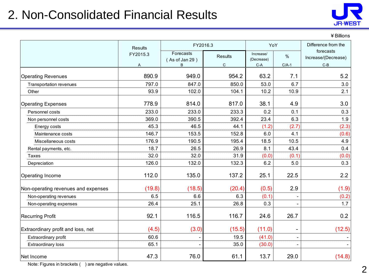#### 2. Non-Consolidated Financial Results



| Billions |  |
|----------|--|
|----------|--|

|                                     | <b>Results</b> | FY2016.3                         | YoY                            |                                  | Difference from the      |                                           |
|-------------------------------------|----------------|----------------------------------|--------------------------------|----------------------------------|--------------------------|-------------------------------------------|
|                                     | FY2015.3<br>Α  | Forecasts<br>(As of Jan 29)<br>B | <b>Results</b><br>$\mathsf{C}$ | Increase/<br>(Decrease)<br>$C-A$ | %<br>$C/A-1$             | forecasts<br>Increase/(Decrease)<br>$C-B$ |
| <b>Operating Revenues</b>           | 890.9          | 949.0                            | 954.2                          | 63.2                             | 7.1                      | 5.2                                       |
| Transportation revenues             | 797.0          | 847.0                            | 850.0                          | 53.0                             | 6.7                      | 3.0                                       |
| Other                               | 93.9           | 102.0                            | 104.1                          | 10.2                             | 10.9                     | 2.1                                       |
| <b>Operating Expenses</b>           | 778.9          | 814.0                            | 817.0                          | 38.1                             | 4.9                      | 3.0                                       |
| Personnel costs                     | 233.0          | 233.0                            | 233.3                          | 0.2                              | 0.1                      | 0.3                                       |
| Non personnel costs                 | 369.0          | 390.5                            | 392.4                          | 23.4                             | 6.3                      | 1.9                                       |
| Energy costs                        | 45.3           | 46.5                             | 44.1                           | (1.2)                            | (2.7)                    | (2.3)                                     |
| Maintenance costs                   | 146.7          | 153.5                            | 152.8                          | 6.0                              | 4.1                      | (0.6)                                     |
| Miscellaneous costs                 | 176.9          | 190.5                            | 195.4                          | 18.5                             | 10.5                     | 4.9                                       |
| Rental payments, etc.               | 18.7           | 26.5                             | 26.9                           | 8.1                              | 43.4                     | 0.4                                       |
| Taxes                               | 32.0           | 32.0                             | 31.9                           | (0.0)                            | (0.1)                    | (0.0)                                     |
| Depreciation                        | 126.0          | 132.0                            | 132.3                          | 6.2                              | 5.0                      | 0.3                                       |
| <b>Operating Income</b>             | 112.0          | 135.0                            | 137.2                          | 25.1                             | 22.5                     | 2.2                                       |
| Non-operating revenues and expenses | (19.8)         | (18.5)                           | (20.4)                         | (0.5)                            | 2.9                      | (1.9)                                     |
| Non-operating revenues              | 6.5            | 6.6                              | 6.3                            | (0.1)                            |                          | (0.2)                                     |
| Non-operating expenses              | 26.4           | 25.1                             | 26.8                           | 0.3                              |                          | 1.7                                       |
| <b>Recurring Profit</b>             | 92.1           | 116.5                            | 116.7                          | 24.6                             | 26.7                     | 0.2                                       |
| Extraordinary profit and loss, net  | (4.5)          | (3.0)                            | (15.5)                         | (11.0)                           | -                        | (12.5)                                    |
| Extraordinary profit                | 60.6           |                                  | 19.5                           | (41.0)                           | $\overline{\phantom{a}}$ |                                           |
| Extraordinary loss                  | 65.1           |                                  | 35.0                           | (30.0)                           |                          |                                           |
| Net Income                          | 47.3           | 76.0                             | 61.1                           | 13.7                             | 29.0                     | (14.8)                                    |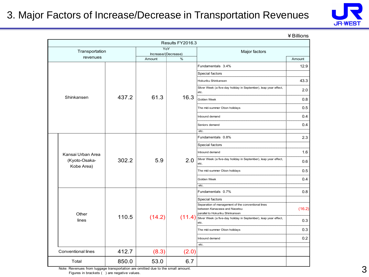#### 3. Major Factors of Increase/Decrease in Transportation Revenues



| ¥ Billions |  |
|------------|--|
|------------|--|

|                             |       |                            | Results FY2016.3 |                                                                                                                                                                                                                                                                                                           |                 |     |                                                                          |     |  |  |  |  |  |  |                |     |
|-----------------------------|-------|----------------------------|------------------|-----------------------------------------------------------------------------------------------------------------------------------------------------------------------------------------------------------------------------------------------------------------------------------------------------------|-----------------|-----|--------------------------------------------------------------------------|-----|--|--|--|--|--|--|----------------|-----|
| Transportation              |       | YoY<br>Increase/(Decrease) |                  | Major factors                                                                                                                                                                                                                                                                                             |                 |     |                                                                          |     |  |  |  |  |  |  |                |     |
| revenues                    |       | Amount                     | %                |                                                                                                                                                                                                                                                                                                           | Amount          |     |                                                                          |     |  |  |  |  |  |  |                |     |
|                             |       |                            |                  | Fundamentals 3.4%                                                                                                                                                                                                                                                                                         | 12.9            |     |                                                                          |     |  |  |  |  |  |  |                |     |
|                             |       |                            |                  |                                                                                                                                                                                                                                                                                                           | Special factors |     |                                                                          |     |  |  |  |  |  |  |                |     |
|                             |       |                            |                  | Hokuriku Shinkansen                                                                                                                                                                                                                                                                                       | 43.3            |     |                                                                          |     |  |  |  |  |  |  |                |     |
|                             |       |                            |                  | the control of the control of the control of the control of the control of the control of the control of the control of the control of the control of the control of the control of the control of the control of the control<br>Silver Week (a five-day holiday in September), leap year effect,<br>etc. | 2.0             |     |                                                                          |     |  |  |  |  |  |  |                |     |
| Shinkansen                  | 437.2 | 61.3                       | 16.3             | Golden Week                                                                                                                                                                                                                                                                                               | 0.8             |     |                                                                          |     |  |  |  |  |  |  |                |     |
|                             |       |                            |                  | The mid-summer Obon holidays                                                                                                                                                                                                                                                                              | 0.5             |     |                                                                          |     |  |  |  |  |  |  |                |     |
|                             |       |                            |                  | Inbound demand                                                                                                                                                                                                                                                                                            | 0.4             |     |                                                                          |     |  |  |  |  |  |  |                |     |
|                             |       |                            |                  | Seniors demand                                                                                                                                                                                                                                                                                            | 0.4             |     |                                                                          |     |  |  |  |  |  |  |                |     |
|                             |       |                            |                  | etc.                                                                                                                                                                                                                                                                                                      |                 |     |                                                                          |     |  |  |  |  |  |  |                |     |
|                             |       |                            |                  | Fundamentals 0.8%                                                                                                                                                                                                                                                                                         | 2.3             |     |                                                                          |     |  |  |  |  |  |  |                |     |
|                             |       |                            |                  | Special factors<br>                                                                                                                                                                                                                                                                                       |                 |     |                                                                          |     |  |  |  |  |  |  |                |     |
| Kansai Urban Area           |       | 5.9                        |                  |                                                                                                                                                                                                                                                                                                           |                 |     |                                                                          |     |  |  |  |  |  |  | Inbound demand | 1.6 |
| (Kyoto-Osaka-<br>Kobe Area) | 302.2 |                            |                  |                                                                                                                                                                                                                                                                                                           |                 | 2.0 | Silver Week (a five-day holiday in September), leap year effect,<br>etc. | 0.6 |  |  |  |  |  |  |                |     |
|                             |       |                            |                  | The mid-summer Obon holidays                                                                                                                                                                                                                                                                              | 0.5             |     |                                                                          |     |  |  |  |  |  |  |                |     |
|                             |       |                            |                  | Golden Week<br><br>etc.                                                                                                                                                                                                                                                                                   | 0.4             |     |                                                                          |     |  |  |  |  |  |  |                |     |
|                             |       |                            |                  | Fundamentals 0.7%                                                                                                                                                                                                                                                                                         | 0.8             |     |                                                                          |     |  |  |  |  |  |  |                |     |
|                             |       |                            |                  | Special factors                                                                                                                                                                                                                                                                                           |                 |     |                                                                          |     |  |  |  |  |  |  |                |     |
| Other                       |       |                            |                  | Separation of management of the conventional lines<br>between Kanazawa and Naoetsu<br>parallel to Hokuriku Shinkansen                                                                                                                                                                                     | (16.2)          |     |                                                                          |     |  |  |  |  |  |  |                |     |
| lines                       | 110.5 | (14.2)                     | (11.4)           | Silver Week (a five-day holiday in September), leap year effect,<br>etc.                                                                                                                                                                                                                                  | 0.3             |     |                                                                          |     |  |  |  |  |  |  |                |     |
|                             |       |                            |                  | The mid-summer Obon holidays                                                                                                                                                                                                                                                                              | 0.3             |     |                                                                          |     |  |  |  |  |  |  |                |     |
|                             |       |                            |                  | Inbound demand                                                                                                                                                                                                                                                                                            | 0.2             |     |                                                                          |     |  |  |  |  |  |  |                |     |
|                             |       |                            |                  | etc.                                                                                                                                                                                                                                                                                                      |                 |     |                                                                          |     |  |  |  |  |  |  |                |     |
| Conventional lines          | 412.7 | (8.3)                      | (2.0)            |                                                                                                                                                                                                                                                                                                           |                 |     |                                                                          |     |  |  |  |  |  |  |                |     |
| Total                       | 850.0 | 53.0                       | 6.7              |                                                                                                                                                                                                                                                                                                           |                 |     |                                                                          |     |  |  |  |  |  |  |                |     |

Note: Revenues from luggage transportation are omitted due to the small amount. Figures in brackets ( ) are negative values.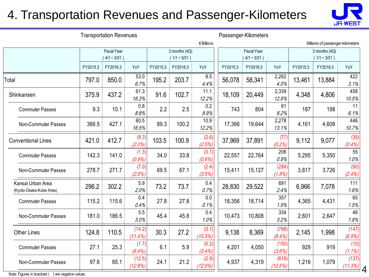#### 4. Transportation Revenues and Passenger-Kilometers



|                                              | <b>Transportation Revenues</b> |                                         |                      |          |                                 |                     | Passenger-Kilometers |                                         |                  |          |                                  |                   |
|----------------------------------------------|--------------------------------|-----------------------------------------|----------------------|----------|---------------------------------|---------------------|----------------------|-----------------------------------------|------------------|----------|----------------------------------|-------------------|
|                                              |                                |                                         |                      |          |                                 | ¥ Billions          |                      |                                         |                  |          | Millions of passenger-kilometers |                   |
|                                              |                                | <b>Fiscal Year</b><br>$(4/1 \sim 3/31)$ |                      |          | 3 months (4Q)<br>$(1/1 - 3/31)$ |                     |                      | <b>Fiscal Year</b><br>$(4/1 \sim 3/31)$ |                  |          | 3 months (4Q)<br>$(1/1 - 3/31)$  |                   |
|                                              | FY2015.3                       | FY2016.3                                | YoY                  | FY2015.3 | FY2016.3                        | YoY                 | FY2015.3             | FY2016.3                                | YoY              | FY2015.3 | FY2016.3                         | YoY               |
| Total                                        | 797.0                          | 850.0                                   | 53.0<br>6.7%         | 195.2    | 203.7                           | 8.5<br>4.4%         | 56,078               | 58,341                                  | 2,262<br>4.0%    | 13,461   | 13,884                           | 422<br>3.1%       |
| Shinkansen                                   | 375.9                          | 437.2                                   | 61.3<br>16.3%        | 91.6     | 102.7                           | 11.1<br>12.2%       | 18,109               | 20,449                                  | 2,339<br>12.9%   | 4,348    | 4,806                            | 458<br>10.5%      |
| <b>Commuter Passes</b>                       | 9.3                            | 10.1                                    | 0.8<br>8.8%          | 2.2      | 2.5                             | 0.2<br>8.9%         | 743                  | 804                                     | 61<br>8.2%       | 187      | 198                              | 11<br>6.1%        |
| Non-Commuter Passes                          | 366.5                          | 427.1                                   | 60.5<br>16.5%        | 89.3     | 100.2                           | 10.9<br>12.2%       | 17,366               | 19,644                                  | 2,278<br>13.1%   | 4,161    | 4,608                            | 446<br>10.7%      |
| <b>Conventional Lines</b>                    | 421.0                          | 412.7                                   | (8.3)<br>(2.0%)      | 103.5    | 100.9                           | (2.6)<br>(2.5%)     | 37,969               | 37,891                                  | (77)<br>(0.2%)   | 9,112    | 9,077                            | (35)<br>$(0.4\%)$ |
| <b>Commuter Passes</b>                       | 142.3                          | 141.0                                   | (1.3)<br>(0.9%)      | 34.0     | 33.8                            | (0.1)<br>(0.6%)     | 22,557               | 22,764                                  | 206<br>0.9%      | 5,295    | 5,350                            | 55<br>1.0%        |
| Non-Commuter Passes                          | 278.7                          | 271.7                                   | (7.0)<br>(2.5%)      | 69.5     | 67.1                            | (2.4)<br>(3.5%)     | 15,411               | 15,127                                  | (284)<br>(1.8%)  | 3,817    | 3,726                            | (90)<br>(2.4%)    |
| Kansai Urban Area<br>(Kyoto-Osaka-Kobe Area) | 296.2                          | 302.2                                   | 5.9<br>2.0%          | 73.2     | 73.7                            | 0.4<br>0.7%         | 28,830               | 29,522                                  | 691<br>2.4%      | 6,966    | 7,078                            | 111<br>1.6%       |
| <b>Commuter Passes</b>                       | 115.2                          | 115.6                                   | 0.4<br>0.4%          | 27.8     | 27.8                            | 0.0<br>0.1%         | 18,356               | 18,714                                  | 357<br>1.9%      | 4,365    | 4,431                            | 65<br>1.5%        |
| Non-Commuter Passes                          | 181.0                          | 186.5                                   | 5.5<br>3.0%          | 45.4     | 45.8                            | 0.4<br>1.0%         | 10,473               | 10,808                                  | 334<br>3.2%      | 2,601    | 2,647                            | 46<br>1.8%        |
| <b>Other Lines</b>                           | 124.8                          | 110.5                                   | (14.2)<br>$(11.4\%)$ | 30.3     | 27.2                            | (3.1)<br>(10.3%)    | 9,138                | 8,369                                   | (768)<br>(8.4%)  | 2,145    | 1,998                            | (147)<br>(6.9%)   |
| <b>Commuter Passes</b>                       | 27.1                           | 25.3                                    | (1.7)<br>$(6.4\%)$   | 6.1      | 5.9                             | (0.2)<br>(3.4%)     | 4,201                | 4,050                                   | (150)<br>(3.6%)  | 929      | 919                              | (10)<br>(1.1%)    |
| Non-Commuter Passes                          | 97.6                           | 85.1                                    | (12.5)<br>(12.8%)    | 24.1     | 21.2                            | (2.9)<br>$(12.0\%)$ | 4,937                | 4,319                                   | (618)<br>(12.5%) | 1,216    | 1,079                            | (137)<br>(11.3%)  |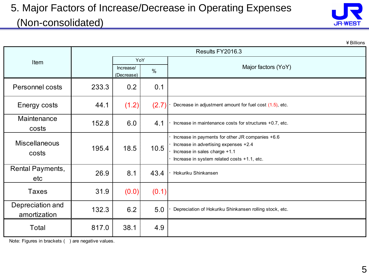#### 5. Major Factors of Increase/Decrease in Operating Expenses (Non-consolidated)



|                                  |       |                                 |       | ¥ Billions                                                                                                                                                                |  |  |  |  |  |
|----------------------------------|-------|---------------------------------|-------|---------------------------------------------------------------------------------------------------------------------------------------------------------------------------|--|--|--|--|--|
|                                  |       | Results FY2016.3                |       |                                                                                                                                                                           |  |  |  |  |  |
| Item                             |       | YoY                             |       |                                                                                                                                                                           |  |  |  |  |  |
|                                  |       | Increase/<br>$\%$<br>(Decrease) |       | Major factors (YoY)                                                                                                                                                       |  |  |  |  |  |
| <b>Personnel costs</b>           | 233.3 | 0.2                             | 0.1   |                                                                                                                                                                           |  |  |  |  |  |
| Energy costs                     | 44.1  | (1.2)                           | (2.7) | Decrease in adjustment amount for fuel cost (1.5), etc.                                                                                                                   |  |  |  |  |  |
| Maintenance<br>costs             | 152.8 | 6.0                             | 4.1   | Increase in maintenance costs for structures +0.7, etc.                                                                                                                   |  |  |  |  |  |
| <b>Miscellaneous</b><br>costs    | 195.4 | 18.5                            | 10.5  | Increase in payments for other JR companies +6.6<br>Increase in advertising expenses +2.4<br>Increase in sales charge +1.1<br>Increase in system related costs +1.1, etc. |  |  |  |  |  |
| Rental Payments,<br>etc          | 26.9  | 8.1                             | 43.4  | Hokuriku Shinkansen                                                                                                                                                       |  |  |  |  |  |
| <b>Taxes</b>                     | 31.9  | (0.0)                           | (0.1) |                                                                                                                                                                           |  |  |  |  |  |
| Depreciation and<br>amortization | 132.3 | 6.2                             | 5.0   | Depreciation of Hokuriku Shinkansen rolling stock, etc.                                                                                                                   |  |  |  |  |  |
| Total                            | 817.0 | 38.1                            | 4.9   |                                                                                                                                                                           |  |  |  |  |  |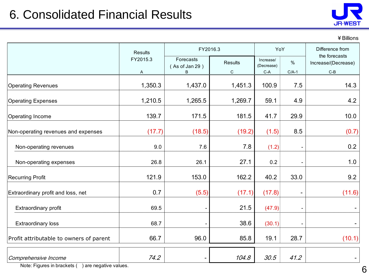

¥Billions

|                                         | <b>Results</b> |                                  | FY2016.3                    | YoY                              |                          | Difference from                               |  |
|-----------------------------------------|----------------|----------------------------------|-----------------------------|----------------------------------|--------------------------|-----------------------------------------------|--|
|                                         | FY2015.3<br>A  | Forecasts<br>(As of Jan 29)<br>B | <b>Results</b><br>${\rm C}$ | Increase/<br>(Decrease)<br>$C-A$ | $\%$<br>$C/A-1$          | the forecasts<br>Increase/(Decrease)<br>$C-B$ |  |
| <b>Operating Revenues</b>               | 1,350.3        | 1,437.0                          | 1,451.3                     | 100.9                            | 7.5                      | 14.3                                          |  |
| <b>Operating Expenses</b>               | 1,210.5        | 1,265.5                          | 1,269.7                     | 59.1                             | 4.9                      | 4.2                                           |  |
| Operating Income                        | 139.7          | 171.5                            | 181.5                       | 41.7                             | 29.9                     | 10.0                                          |  |
| Non-operating revenues and expenses     | (17.7)         | (18.5)                           | (19.2)                      | (1.5)                            | 8.5                      | (0.7)                                         |  |
| Non-operating revenues                  | 9.0            | 7.6                              | 7.8                         | (1.2)                            |                          | 0.2                                           |  |
| Non-operating expenses                  | 26.8           | 26.1                             | 27.1                        | 0.2                              |                          | 1.0                                           |  |
| <b>Recurring Profit</b>                 | 121.9          | 153.0                            | 162.2                       | 40.2                             | 33.0                     | 9.2                                           |  |
| Extraordinary profit and loss, net      | 0.7            | (5.5)                            | (17.1)                      | (17.8)                           | $\overline{\phantom{a}}$ | (11.6)                                        |  |
| Extraordinary profit                    | 69.5           |                                  | 21.5                        | (47.9)                           |                          |                                               |  |
| <b>Extraordinary loss</b>               | 68.7           |                                  | 38.6                        | (30.1)                           |                          |                                               |  |
| Profit attributable to owners of parent | 66.7           | 96.0                             | 85.8                        | 19.1                             | 28.7                     | (10.1)                                        |  |
| Comprehensive Income                    | 74.2           | $\overline{a}$                   | 104.8                       | 30.5                             | 41.2                     |                                               |  |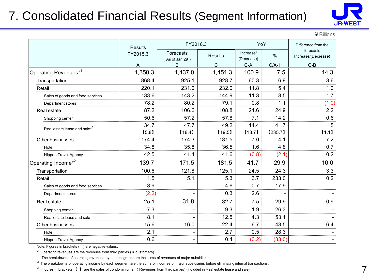### 7. Consolidated Financial Results (Segment Information)



¥Billions

|                                          | <b>Results</b> | FY2016.3                    |                | YoY                     |         | Difference from the              |
|------------------------------------------|----------------|-----------------------------|----------------|-------------------------|---------|----------------------------------|
|                                          | FY2015.3       | Forecasts<br>(As of Jan 29) | <b>Results</b> | Increase/<br>(Decrease) | $\%$    | forecasts<br>Increase/(Decrease) |
|                                          | A              | B                           | C              | $C-A$                   | $C/A-1$ | $C-B$                            |
| Operating Revenues <sup>*1</sup>         | 1,350.3        | 1,437.0                     | 1,451.3        | 100.9                   | 7.5     | 14.3                             |
| Transportation                           | 868.4          | 925.1                       | 928.7          | 60.3                    | 6.9     | 3.6                              |
| Retail                                   | 220.1          | 231.0                       | 232.0          | 11.8                    | 5.4     | 1.0                              |
| Sales of goods and food services         | 133.6          | 143.2                       | 144.9          | 11.3                    | 8.5     | 1.7                              |
| Department stores                        | 78.2           | 80.2                        | 79.1           | 0.8                     | 1.1     | (1.0)                            |
| Real estate                              | 87.2           | 106.6                       | 108.8          | 21.6                    | 24.9    | 2.2                              |
| Shopping center                          | 50.6           | 57.2                        | 57.8           | 7.1                     | 14.2    | 0.6                              |
| Real estate lease and sale* <sup>3</sup> | 34.7           | 47.7                        | 49.2           | 14.4                    | 41.7    | 1.5                              |
|                                          | [5.8]          | [18.4]                      | [19.5]         | $[13.7]$                | [235.7] | [1.1]                            |
| Other businesses                         | 174.4          | 174.3                       | 181.5          | 7.0                     | 4.1     | 7.2                              |
| Hotel                                    | 34.8           | 35.8                        | 36.5           | 1.6                     | 4.8     | 0.7                              |
| Nippon Travel Agency                     | 42.5           | 41.4                        | 41.6           | (0.8)                   | (2.1)   | 0.2                              |
| Operating Income <sup>*2</sup>           | 139.7          | 171.5                       | 181.5          | 41.7                    | 29.9    | 10.0                             |
| Transportation                           | 100.6          | 121.8                       | 125.1          | 24.5                    | 24.3    | 3.3                              |
| Retail                                   | 1.5            | 5.1                         | 5.3            | 3.7                     | 233.0   | 0.2                              |
| Sales of goods and food services         | 3.9            |                             | 4.6            | 0.7                     | 17.9    |                                  |
| Department stores                        | (2.2)          |                             | 0.3            | 2.6                     |         |                                  |
| Real estate                              | 25.1           | 31.8                        | 32.7           | 7.5                     | 29.9    | 0.9                              |
| Shopping center                          | 7.3            |                             | 9.3            | 1.9                     | 26.3    |                                  |
| Real estate lease and sale               | 8.1            |                             | 12.5           | 4.3                     | 53.1    |                                  |
| Other businesses                         | 15.6           | 16.0                        | 22.4           | 6.7                     | 43.5    | 6.4                              |
| Hotel                                    | 2.1            |                             | 2.7            | 0.5                     | 28.3    |                                  |
| Nippon Travel Agency                     | 0.6            |                             | 0.4            | (0.2)                   | (33.0)  | $\overline{\phantom{0}}$         |

Note: Figures in brackets () are negative values.

\*<sup>1</sup> Operating revenues are the revenues from third parties ( = customers).

The breakdowns of operating revenues by each segment are the sums of revenues of major subsidiaries.

\*<sup>2</sup> The breakdowns of operating income by each segment are the sums of incomes of major subsidiaries before eliminating internal transactions.

\*<sup>3</sup> Figures in brackets 【 】 are the sales of condominiums. (Revenues from third parties) (Included in Real estate lease and sale)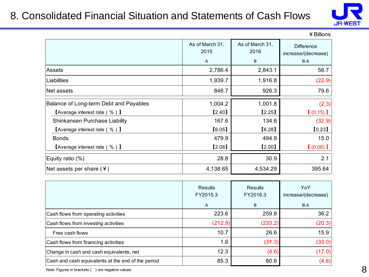#### 8. Consolidated Financial Situation and Statements of Cash Flows



|                                                         |                         |                         | ¥ Billions                               |
|---------------------------------------------------------|-------------------------|-------------------------|------------------------------------------|
|                                                         | As of March 31,<br>2015 | As of March 31,<br>2016 | <b>Difference</b><br>increase/(decrease) |
|                                                         | A                       | B                       | B-A                                      |
| Assets                                                  | 2,786.4                 | 2,843.1                 | 56.7                                     |
| Liabilities                                             | 1,939.7                 | 1,916.8                 | (22.9)                                   |
| Net assets                                              | 846.7                   | 926.3                   | 79.6                                     |
| Balance of Long-term Debt and Payables                  | 1,004.2                 | 1,001.8                 | (2.3)                                    |
| $\blacksquare$ Average interest rate (%) $\blacksquare$ | [2.40]                  | [2.25]                  | $(0.15)$ I                               |
| Shinkansen Purchase Liability                           | 167.6                   | 134.6                   | (32.9)                                   |
| $\blacksquare$ Average interest rate (%) $\blacksquare$ | [6.05]                  | [6.28]                  | [0.23]                                   |
| <b>Bonds</b>                                            | 479.9                   | 494.9                   | 15.0                                     |
| <b>[Average interest rate (%)</b> ]                     | [2.08]                  | [2.00]                  | $(0.08)$ ]                               |
| Equity ratio (%)                                        | 28.8                    | 30.9                    | 2.1                                      |
| Net assets per share $(*)$                              | 4,138.65                | 4,534.29                | 395.64                                   |

|                                                    | Results<br>FY2015.3<br>A | Results<br>FY2016.3<br>B | YoY<br>increase/(decrease)<br>B-A |
|----------------------------------------------------|--------------------------|--------------------------|-----------------------------------|
| Cash flows from operating activities               | 223.6                    | 259.8                    | 36.2                              |
| Cash flows from investing activities               | (212.9)                  | (233.2)                  | (20.3)                            |
| Free cash flows                                    | 10.7                     | 26.6                     | 15.9                              |
| Cash flows from financing activities               | 1.6                      | (31.3)                   | (33.0)                            |
| Change in cash and cash equivalents, net           | 12.3                     | (4.6)                    | (17.0)                            |
| Cash and cash equivalents at the end of the period | 85.3                     | 80.6                     | (4.6)                             |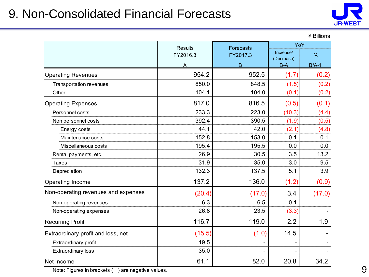#### 9. Non-Consolidated Financial Forecasts



|                                     | <b>Results</b> | <b>Forecasts</b> | YoY                 |               |
|-------------------------------------|----------------|------------------|---------------------|---------------|
|                                     | FY2016.3       | FY2017.3         | Increase/           | $\frac{9}{6}$ |
|                                     | Α              | B                | (Decrease)<br>$B-A$ | $B/A-1$       |
| <b>Operating Revenues</b>           | 954.2          | 952.5            | (1.7)               | (0.2)         |
| <b>Transportation revenues</b>      | 850.0          | 848.5            | (1.5)               | (0.2)         |
| Other                               | 104.1          | 104.0            | (0.1)               | (0.2)         |
| <b>Operating Expenses</b>           | 817.0          | 816.5            | (0.5)               | (0.1)         |
| Personnel costs                     | 233.3          | 223.0            | (10.3)              | (4.4)         |
| Non personnel costs                 | 392.4          | 390.5            | (1.9)               | (0.5)         |
| Energy costs                        | 44.1           | 42.0             | (2.1)               | (4.8)         |
| Maintenance costs                   | 152.8          | 153.0            | 0.1                 | 0.1           |
| Miscellaneous costs                 | 195.4          | 195.5            | 0.0                 | 0.0           |
| Rental payments, etc.               | 26.9           | 30.5             | 3.5                 | 13.2          |
| <b>Taxes</b>                        | 31.9           | 35.0             | 3.0                 | 9.5           |
| Depreciation                        | 132.3          | 137.5            | 5.1                 | 3.9           |
| Operating Income                    | 137.2          | 136.0            | (1.2)               | (0.9)         |
| Non-operating revenues and expenses | (20.4)         | (17.0)           | 3.4                 | (17.0)        |
| Non-operating revenues              | 6.3            | 6.5              | 0.1                 |               |
| Non-operating expenses              | 26.8           | 23.5             | (3.3)               |               |
| <b>Recurring Profit</b>             | 116.7          | 119.0            | 2.2                 | 1.9           |
| Extraordinary profit and loss, net  | (15.5)         | (1.0)            | 14.5                |               |
| Extraordinary profit                | 19.5           |                  | ÷                   |               |
| <b>Extraordinary loss</b>           | 35.0           |                  |                     |               |
| Net Income                          | 61.1           | 82.0             | 20.8                | 34.2          |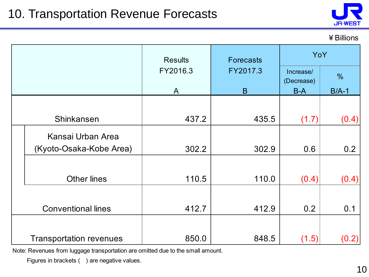

¥Billions

|                                | <b>Results</b> | <b>Forecasts</b> | YoY                     |               |
|--------------------------------|----------------|------------------|-------------------------|---------------|
|                                | FY2016.3       | FY2017.3         | Increase/<br>(Decrease) | $\frac{0}{0}$ |
|                                | A              | B                | $B-A$                   | $B/A-1$       |
|                                |                |                  |                         |               |
| Shinkansen                     | 437.2          | 435.5            | (1.7)                   | (0.4)         |
| Kansai Urban Area              |                |                  |                         |               |
| (Kyoto-Osaka-Kobe Area)        | 302.2          | 302.9            | 0.6                     | 0.2           |
|                                |                |                  |                         |               |
| <b>Other lines</b>             | 110.5          | 110.0            | (0.4)                   | (0.4)         |
|                                |                |                  |                         |               |
| <b>Conventional lines</b>      | 412.7          | 412.9            | 0.2                     | 0.1           |
|                                |                |                  |                         |               |
| <b>Transportation revenues</b> | 850.0          | 848.5            | (1.5)                   | (0.2)         |

Note: Revenues from luggage transportation are omitted due to the small amount.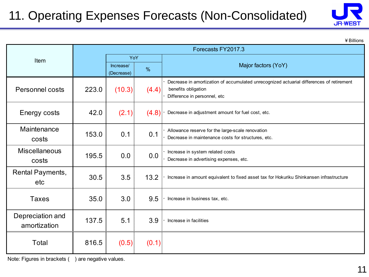# 11. Operating Expenses Forecasts (Non-Consolidated)



¥Billions

|                                  | Forecasts FY2017.3 |                         |               |                                                                                                                                                 |
|----------------------------------|--------------------|-------------------------|---------------|-------------------------------------------------------------------------------------------------------------------------------------------------|
| Item                             |                    | YoY                     |               |                                                                                                                                                 |
|                                  |                    | Increase/<br>(Decrease) | $\frac{9}{6}$ | Major factors (YoY)                                                                                                                             |
| Personnel costs                  | 223.0              | (10.3)                  | (4.4)         | Decrease in amortization of accumulated unrecognized actuarial differences of retirement<br>benefits obligation<br>Difference in personnel, etc |
| Energy costs                     | 42.0               | (2.1)                   | (4.8)         | Decrease in adjustment amount for fuel cost, etc.                                                                                               |
| Maintenance<br>costs             | 153.0              | 0.1                     | 0.1           | Allowance reserve for the large-scale renovation<br>Decrease in maintenance costs for structures, etc.                                          |
| <b>Miscellaneous</b><br>costs    | 195.5              | 0.0                     | 0.0           | Increase in system related costs<br>Decrease in advertising expenses, etc.                                                                      |
| Rental Payments,<br>etc          | 30.5               | 3.5                     | 13.2          | Increase in amount equivalent to fixed asset tax for Hokuriku Shinkansen infrastructure                                                         |
| <b>Taxes</b>                     | 35.0               | 3.0                     | 9.5           | Increase in business tax, etc.                                                                                                                  |
| Depreciation and<br>amortization | 137.5              | 5.1                     | 3.9           | Increase in facilities                                                                                                                          |
| Total                            | 816.5              | (0.5)                   | (0.1)         |                                                                                                                                                 |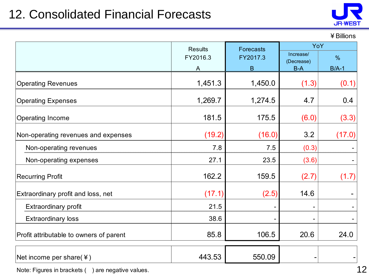### 12. Consolidated Financial Forecasts



#### ¥Billions

|                                         | <b>Results</b> | <b>Forecasts</b> | YoY                     |               |
|-----------------------------------------|----------------|------------------|-------------------------|---------------|
|                                         | FY2016.3       | FY2017.3         | Increase/<br>(Decrease) | $\frac{9}{6}$ |
|                                         | A              | B                | $B-A$                   | $B/A-1$       |
| <b>Operating Revenues</b>               | 1,451.3        | 1,450.0          | (1.3)                   | (0.1)         |
| <b>Operating Expenses</b>               | 1,269.7        | 1,274.5          | 4.7                     | 0.4           |
| Operating Income                        | 181.5          | 175.5            | (6.0)                   | (3.3)         |
| Non-operating revenues and expenses     | (19.2)         | (16.0)           | 3.2                     | (17.0)        |
| Non-operating revenues                  | 7.8            | 7.5              | (0.3)                   |               |
| Non-operating expenses                  | 27.1           | 23.5             | (3.6)                   |               |
| <b>Recurring Profit</b>                 | 162.2          | 159.5            | (2.7)                   | (1.7)         |
| Extraordinary profit and loss, net      | (17.1)         | (2.5)            | 14.6                    |               |
| <b>Extraordinary profit</b>             | 21.5           |                  |                         |               |
| <b>Extraordinary loss</b>               | 38.6           |                  |                         |               |
| Profit attributable to owners of parent | 85.8           | 106.5            | 20.6                    | 24.0          |
| Net income per share( $\angle$ )        | 443.53         | 550.09           |                         |               |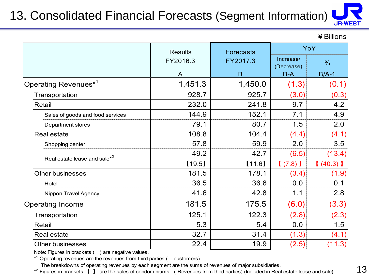# 13. Consolidated Financial Forecasts (Segment Information)

¥Billions

**JR-WEST** 

|                                          | <b>Results</b> | <b>Forecasts</b> | YoY                     |               |
|------------------------------------------|----------------|------------------|-------------------------|---------------|
|                                          | FY2016.3       | FY2017.3         | Increase/<br>(Decrease) | $\frac{0}{0}$ |
|                                          | A              | B                | $B-A$                   | $B/A-1$       |
| Operating Revenues <sup>*1</sup>         | 1,451.3        | 1,450.0          | (1.3)                   | (0.1)         |
| Transportation                           | 928.7          | 925.7            | (3.0)                   | (0.3)         |
| Retail                                   | 232.0          | 241.8            | 9.7                     | 4.2           |
| Sales of goods and food services         | 144.9          | 152.1            | 7.1                     | 4.9           |
| Department stores                        | 79.1           | 80.7             | 1.5                     | 2.0           |
| <b>Real estate</b>                       | 108.8          | 104.4            | (4.4)                   | (4.1)         |
| Shopping center                          | 57.8           | 59.9             | 2.0                     | 3.5           |
| Real estate lease and sale <sup>*2</sup> | 49.2           | 42.7             | (6.5)                   | (13.4)        |
|                                          | [19.5]         | [11.6]           | $(7.8)$ )               | (40.3)        |
| <b>Other businesses</b>                  | 181.5          | 178.1            | (3.4)                   | (1.9)         |
| Hotel                                    | 36.5           | 36.6             | 0.0                     | 0.1           |
| Nippon Travel Agency                     | 41.6           | 42.8             | 1.1                     | 2.8           |
| <b>Operating Income</b>                  | 181.5          | 175.5            | (6.0)                   | (3.3)         |
| Transportation                           | 125.1          | 122.3            | (2.8)                   | (2.3)         |
| Retail                                   | 5.3            | 5.4              | 0.0                     | 1.5           |
| Real estate                              | 32.7           | 31.4             | (1.3)                   | (4.1)         |
| <b>Other businesses</b>                  | 22.4           | 19.9             | (2.5)                   | (11.3)        |

Note: Figures in brackets () are negative values.

 $*$ <sup>1</sup> Operating revenues are the revenues from third parties ( = customers).

The breakdowns of operating revenues by each segment are the sums of revenues of major subsidiaries.

\*<sup>2</sup> Figures in brackets 【 】 are the sales of condominiums. (Revenues from third parties) (Included in Real estate lease and sale)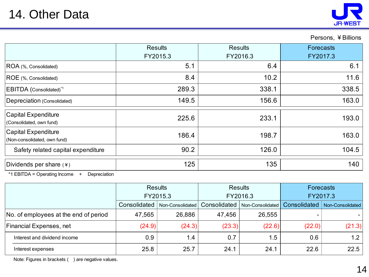

#### Persons, ¥Billions

|                                                     | <b>Results</b><br>FY2015.3 | <b>Results</b><br>FY2016.3 | <b>Forecasts</b><br>FY2017.3 |  |
|-----------------------------------------------------|----------------------------|----------------------------|------------------------------|--|
| ROA (%, Consolidated)                               | 5.1                        | 6.4                        | 6.1                          |  |
| ROE (%, Consolidated)                               | 8.4                        | 10.2                       | 11.6                         |  |
| EBITDA (Consolidated)*1                             | 289.3                      | 338.1                      | 338.5                        |  |
| Depreciation (Consolidated)                         | 149.5                      | 156.6                      | 163.0                        |  |
| Capital Expenditure<br>(Consolidated, own fund)     | 225.6                      | 233.1                      | 193.0                        |  |
| Capital Expenditure<br>(Non-consolidated, own fund) | 186.4                      | 198.7                      | 163.0                        |  |
| Safety related capital expenditure                  | 90.2                       | 126.0                      | 104.5                        |  |
| Dividends per share $(*)$                           | 125                        | 135                        | 140                          |  |

\*1 EBITDA = Operating Income + Depreciation

|                                       | <b>Results</b><br>FY2015.3 |                  | <b>Results</b><br>FY2016.3 |                  | Forecasts<br>FY2017.3 |                  |
|---------------------------------------|----------------------------|------------------|----------------------------|------------------|-----------------------|------------------|
|                                       |                            |                  |                            |                  |                       |                  |
|                                       | Consolidated               | Non-Consolidated | Consolidated               | Non-Consolidated | Consolidated          | Non-Consolidated |
| No. of employees at the end of period | 47,565                     | 26,886           | 47,456                     | 26,555           |                       |                  |
| <b>Financial Expenses, net</b>        | (24.9)                     | (24.3)           | (23.3)                     | (22.6)           | (22.0)                | (21.3)           |
| Interest and dividend income          | 0.9                        | 1.4              | 0.7                        | 1.5              | 0.6                   | 1.2              |
| Interest expenses                     | 25.8                       | 25.7             | 24.1                       | 24.1             | 22.6                  | 22.5             |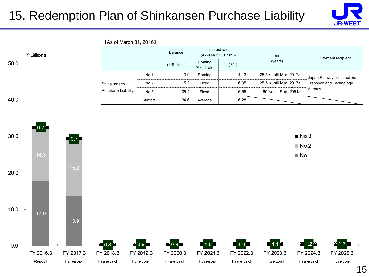#### 15. Redemption Plan of Shinkansen Purchase Liability